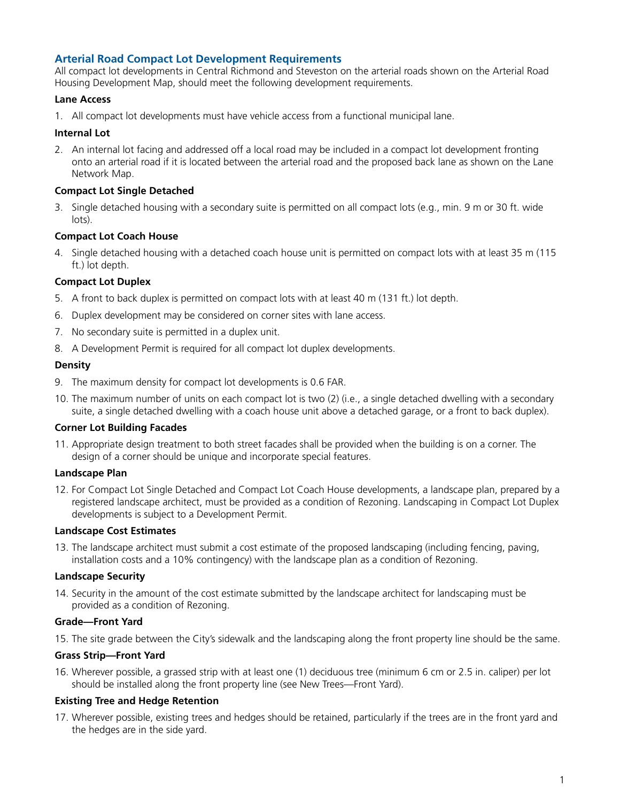# **Arterial Road Compact Lot Development Requirements**

All compact lot developments in Central Richmond and Steveston on the arterial roads shown on the Arterial Road Housing Development Map, should meet the following development requirements.

### **Lane Access**

1. All compact lot developments must have vehicle access from a functional municipal lane.

### **Internal Lot**

2. An internal lot facing and addressed off a local road may be included in a compact lot development fronting onto an arterial road if it is located between the arterial road and the proposed back lane as shown on the Lane Network Map.

### **Compact Lot Single Detached**

3. Single detached housing with a secondary suite is permitted on all compact lots (e.g., min. 9 m or 30 ft. wide lots).

### **Compact Lot Coach House**

4. Single detached housing with a detached coach house unit is permitted on compact lots with at least 35 m (115 ft.) lot depth.

## **Compact Lot Duplex**

- 5. A front to back duplex is permitted on compact lots with at least 40 m (131 ft.) lot depth.
- 6. Duplex development may be considered on corner sites with lane access.
- 7. No secondary suite is permitted in a duplex unit.
- 8. A Development Permit is required for all compact lot duplex developments.

#### **Density**

- 9. The maximum density for compact lot developments is 0.6 FAR.
- 10. The maximum number of units on each compact lot is two (2) (i.e., a single detached dwelling with a secondary suite, a single detached dwelling with a coach house unit above a detached garage, or a front to back duplex).

#### **Corner Lot Building Facades**

11. Appropriate design treatment to both street facades shall be provided when the building is on a corner. The design of a corner should be unique and incorporate special features.

#### **Landscape Plan**

12. For Compact Lot Single Detached and Compact Lot Coach House developments, a landscape plan, prepared by a registered landscape architect, must be provided as a condition of Rezoning. Landscaping in Compact Lot Duplex developments is subject to a Development Permit.

#### **Landscape Cost Estimates**

13. The landscape architect must submit a cost estimate of the proposed landscaping (including fencing, paving, installation costs and a 10% contingency) with the landscape plan as a condition of Rezoning.

#### **Landscape Security**

14. Security in the amount of the cost estimate submitted by the landscape architect for landscaping must be provided as a condition of Rezoning.

#### **Grade—Front Yard**

15. The site grade between the City's sidewalk and the landscaping along the front property line should be the same.

#### **Grass Strip—Front Yard**

16. Wherever possible, a grassed strip with at least one (1) deciduous tree (minimum 6 cm or 2.5 in. caliper) per lot should be installed along the front property line (see New Trees—Front Yard).

#### **Existing Tree and Hedge Retention**

17. Wherever possible, existing trees and hedges should be retained, particularly if the trees are in the front yard and the hedges are in the side yard.